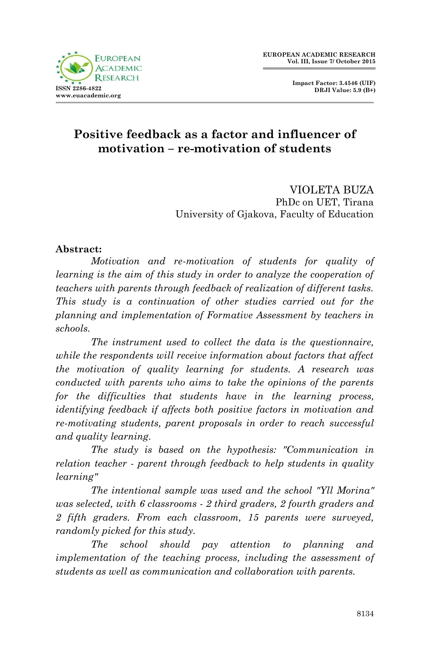

 **Impact Factor: 3.4546 (UIF) DRJI Value: 5.9 (B+)**

# **Positive feedback as a factor and influencer of motivation – re-motivation of students**

VIOLETA BUZA PhDc on UET, Tirana University of Gjakova, Faculty of Education

### **Abstract:**

*Motivation and re-motivation of students for quality of learning is the aim of this study in order to analyze the cooperation of teachers with parents through feedback of realization of different tasks. This study is a continuation of other studies carried out for the planning and implementation of Formative Assessment by teachers in schools.*

*The instrument used to collect the data is the questionnaire, while the respondents will receive information about factors that affect the motivation of quality learning for students. A research was conducted with parents who aims to take the opinions of the parents for the difficulties that students have in the learning process, identifying feedback if affects both positive factors in motivation and re-motivating students, parent proposals in order to reach successful and quality learning.*

*The study is based on the hypothesis: "Communication in relation teacher - parent through feedback to help students in quality learning"*

*The intentional sample was used and the school "Yll Morina" was selected, with 6 classrooms - 2 third graders, 2 fourth graders and 2 fifth graders. From each classroom, 15 parents were surveyed, randomly picked for this study.*

*The school should pay attention to planning and implementation of the teaching process, including the assessment of students as well as communication and collaboration with parents.*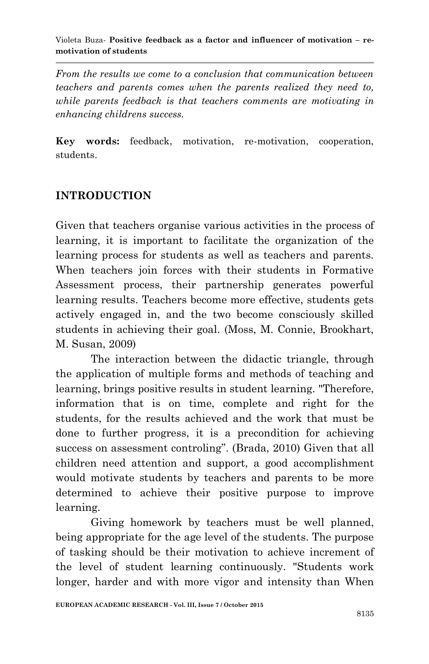*From the results we come to a conclusion that communication between teachers and parents comes when the parents realized they need to, while parents feedback is that teachers comments are motivating in enhancing childrens success.*

**Key words:** feedback, motivation, re-motivation, cooperation, students.

# **INTRODUCTION**

Given that teachers organise various activities in the process of learning, it is important to facilitate the organization of the learning process for students as well as teachers and parents. When teachers join forces with their students in Formative Assessment process, their partnership generates powerful learning results. Teachers become more effective, students gets actively engaged in, and the two become consciously skilled students in achieving their goal. (Moss, M. Connie, Brookhart, M. Susan, 2009)

The interaction between the didactic triangle, through the application of multiple forms and methods of teaching and learning, brings positive results in student learning. "Therefore, information that is on time, complete and right for the students, for the results achieved and the work that must be done to further progress, it is a precondition for achieving success on assessment controling". (Brada, 2010) Given that all children need attention and support, a good accomplishment would motivate students by teachers and parents to be more determined to achieve their positive purpose to improve learning.

Giving homework by teachers must be well planned, being appropriate for the age level of the students. The purpose of tasking should be their motivation to achieve increment of the level of student learning continuously. "Students work longer, harder and with more vigor and intensity than When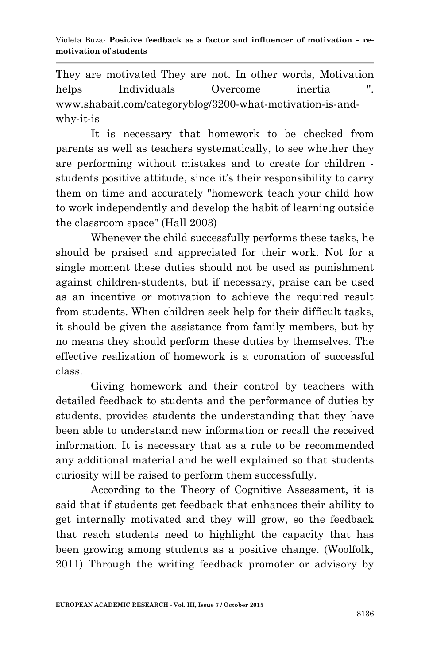They are motivated They are not. In other words, Motivation helps Individuals Overcome inertia www.shabait.com/categoryblog/3200-what-motivation-is-andwhy-it-is

It is necessary that homework to be checked from parents as well as teachers systematically, to see whether they are performing without mistakes and to create for children students positive attitude, since it's their responsibility to carry them on time and accurately "homework teach your child how to work independently and develop the habit of learning outside the classroom space" (Hall 2003)

Whenever the child successfully performs these tasks, he should be praised and appreciated for their work. Not for a single moment these duties should not be used as punishment against children-students, but if necessary, praise can be used as an incentive or motivation to achieve the required result from students. When children seek help for their difficult tasks, it should be given the assistance from family members, but by no means they should perform these duties by themselves. The effective realization of homework is a coronation of successful class.

Giving homework and their control by teachers with detailed feedback to students and the performance of duties by students, provides students the understanding that they have been able to understand new information or recall the received information. It is necessary that as a rule to be recommended any additional material and be well explained so that students curiosity will be raised to perform them successfully.

According to the Theory of Cognitive Assessment, it is said that if students get feedback that enhances their ability to get internally motivated and they will grow, so the feedback that reach students need to highlight the capacity that has been growing among students as a positive change. (Woolfolk, 2011) Through the writing feedback promoter or advisory by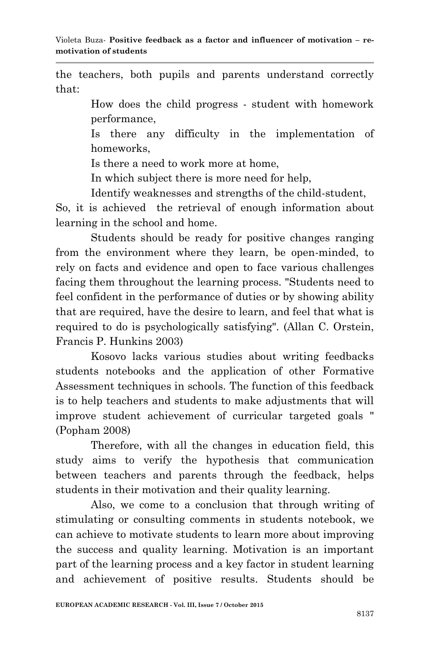the teachers, both pupils and parents understand correctly that:

> How does the child progress - student with homework performance,

> Is there any difficulty in the implementation of homeworks,

Is there a need to work more at home,

In which subject there is more need for help,

Identify weaknesses and strengths of the child-student,

So, it is achieved the retrieval of enough information about learning in the school and home.

Students should be ready for positive changes ranging from the environment where they learn, be open-minded, to rely on facts and evidence and open to face various challenges facing them throughout the learning process. "Students need to feel confident in the performance of duties or by showing ability that are required, have the desire to learn, and feel that what is required to do is psychologically satisfying". (Allan C. Orstein, Francis P. Hunkins 2003)

Kosovo lacks various studies about writing feedbacks students notebooks and the application of other Formative Assessment techniques in schools. The function of this feedback is to help teachers and students to make adjustments that will improve student achievement of curricular targeted goals " (Popham 2008)

Therefore, with all the changes in education field, this study aims to verify the hypothesis that communication between teachers and parents through the feedback, helps students in their motivation and their quality learning.

Also, we come to a conclusion that through writing of stimulating or consulting comments in students notebook, we can achieve to motivate students to learn more about improving the success and quality learning. Motivation is an important part of the learning process and a key factor in student learning and achievement of positive results. Students should be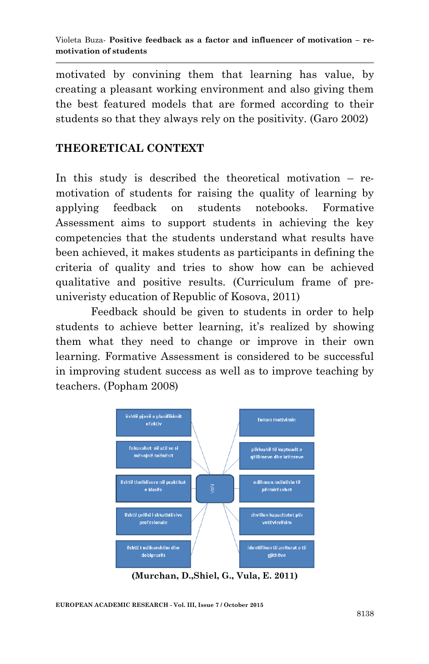motivated by convining them that learning has value, by creating a pleasant working environment and also giving them the best featured models that are formed according to their students so that they always rely on the positivity. (Garo 2002)

## **THEORETICAL CONTEXT**

In this study is described the theoretical motivation – remotivation of students for raising the quality of learning by applying feedback on students notebooks. Formative Assessment aims to support students in achieving the key competencies that the students understand what results have been achieved, it makes students as participants in defining the criteria of quality and tries to show how can be achieved qualitative and positive results. (Curriculum frame of preuniveristy education of Republic of Kosova, 2011)

Feedback should be given to students in order to help students to achieve better learning, it's realized by showing them what they need to change or improve in their own learning. Formative Assessment is considered to be successful in improving student success as well as to improve teaching by teachers. (Popham 2008)



**(Murchan, D.,Shiel, G., Vula, E. 2011)**

**EUROPEAN ACADEMIC RESEARCH - Vol. III, Issue 7 / October 2015**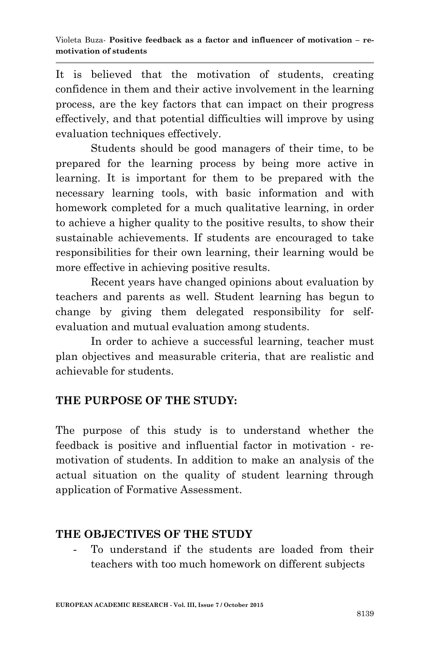It is believed that the motivation of students, creating confidence in them and their active involvement in the learning process, are the key factors that can impact on their progress effectively, and that potential difficulties will improve by using evaluation techniques effectively.

Students should be good managers of their time, to be prepared for the learning process by being more active in learning. It is important for them to be prepared with the necessary learning tools, with basic information and with homework completed for a much qualitative learning, in order to achieve a higher quality to the positive results, to show their sustainable achievements. If students are encouraged to take responsibilities for their own learning, their learning would be more effective in achieving positive results.

Recent years have changed opinions about evaluation by teachers and parents as well. Student learning has begun to change by giving them delegated responsibility for selfevaluation and mutual evaluation among students.

In order to achieve a successful learning, teacher must plan objectives and measurable criteria, that are realistic and achievable for students.

# **THE PURPOSE OF THE STUDY:**

The purpose of this study is to understand whether the feedback is positive and influential factor in motivation - remotivation of students. In addition to make an analysis of the actual situation on the quality of student learning through application of Formative Assessment.

# **THE OBJECTIVES OF THE STUDY**

To understand if the students are loaded from their teachers with too much homework on different subjects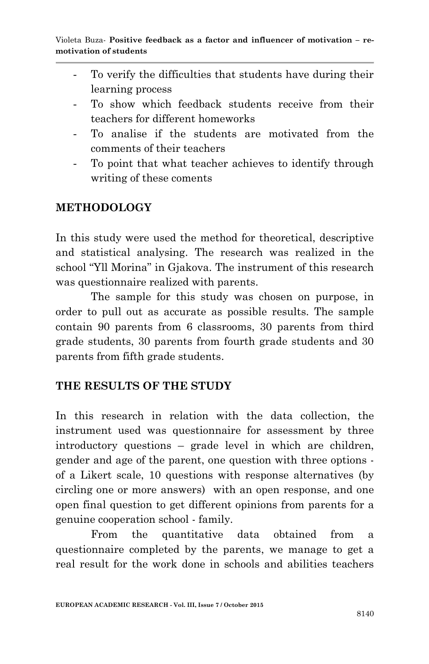- To verify the difficulties that students have during their learning process
- To show which feedback students receive from their teachers for different homeworks
- To analise if the students are motivated from the comments of their teachers
- To point that what teacher achieves to identify through writing of these coments

# **METHODOLOGY**

In this study were used the method for theoretical, descriptive and statistical analysing. The research was realized in the school "Yll Morina" in Gjakova. The instrument of this research was questionnaire realized with parents.

The sample for this study was chosen on purpose, in order to pull out as accurate as possible results. The sample contain 90 parents from 6 classrooms, 30 parents from third grade students, 30 parents from fourth grade students and 30 parents from fifth grade students.

## **THE RESULTS OF THE STUDY**

In this research in relation with the data collection, the instrument used was questionnaire for assessment by three introductory questions – grade level in which are children, gender and age of the parent, one question with three options of a Likert scale, 10 questions with response alternatives (by circling one or more answers) with an open response, and one open final question to get different opinions from parents for a genuine cooperation school - family.

From the quantitative data obtained from a questionnaire completed by the parents, we manage to get a real result for the work done in schools and abilities teachers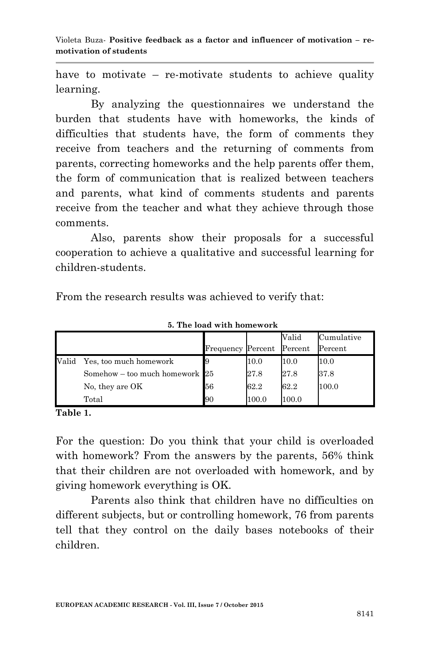Violeta Buza*-* **Positive feedback as a factor and influencer of motivation – remotivation of students**

have to motivate – re-motivate students to achieve quality learning.

By analyzing the questionnaires we understand the burden that students have with homeworks, the kinds of difficulties that students have, the form of comments they receive from teachers and the returning of comments from parents, correcting homeworks and the help parents offer them, the form of communication that is realized between teachers and parents, what kind of comments students and parents receive from the teacher and what they achieve through those comments.

Also, parents show their proposals for a successful cooperation to achieve a qualitative and successful learning for children-students.

From the research results was achieved to verify that:

|       |                                  |                          |       | Valid   | Cumulative |
|-------|----------------------------------|--------------------------|-------|---------|------------|
|       |                                  | <b>Frequency Percent</b> |       | Percent | Percent    |
| Valid | Yes, too much homework           |                          | 10.0  | 10.0    | 10.0       |
|       | Somehow – too much homework $25$ |                          | 27.8  | 27.8    | 37.8       |
|       | No, they are OK                  | 56                       | 62.2  | 62.2    | 100.0      |
|       | Total                            | 90                       | 100.0 | 100.0   |            |

 **5. The load with homework**

**Table 1.**

For the question: Do you think that your child is overloaded with homework? From the answers by the parents, 56% think that their children are not overloaded with homework, and by giving homework everything is OK.

Parents also think that children have no difficulties on different subjects, but or controlling homework, 76 from parents tell that they control on the daily bases notebooks of their children.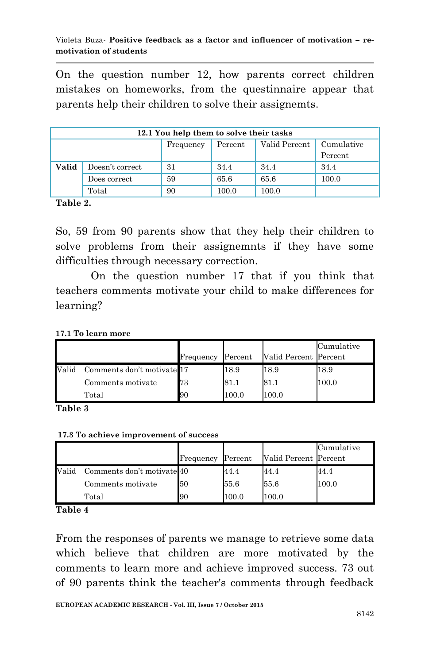On the question number 12, how parents correct children mistakes on homeworks, from the questinnaire appear that parents help their children to solve their assignemts.

| 12.1 You help them to solve their tasks |                 |           |         |               |                       |  |
|-----------------------------------------|-----------------|-----------|---------|---------------|-----------------------|--|
|                                         |                 | Frequency | Percent | Valid Percent | Cumulative<br>Percent |  |
| Valid                                   | Doesn't correct | 31        | 34.4    | 34.4          | 34.4                  |  |
|                                         | Does correct    | 59        | 65.6    | 65.6          | 100.0                 |  |
|                                         | Total           | 90        | 100.0   | 100.0         |                       |  |

**Table 2.**

So, 59 from 90 parents show that they help their children to solve problems from their assignemnts if they have some difficulties through necessary correction.

On the question number 17 that if you think that teachers comments motivate your child to make differences for learning?

|       |                            | Frequency | Percent | Valid Percent Percent | Cumulative |
|-------|----------------------------|-----------|---------|-----------------------|------------|
| Valid | Comments don't motivate 17 |           | 18.9    | 18.9                  | 18.9       |
|       | Comments motivate          | 73        | 81.1    | 81.1                  | 100.0      |
|       | Total                      | 90        | 100.0   | 100.0                 |            |

**Table 3**

**17.3 To achieve improvement of success**

|       |                            |           |         |                       | Cumulative |
|-------|----------------------------|-----------|---------|-----------------------|------------|
|       |                            | Frequency | Percent | Valid Percent Percent |            |
| Valid | Comments don't motivate 40 |           | 44.4    | 44.4                  | 44.4       |
|       | Comments motivate          | 50        | 55.6    | 55.6                  | 100.0      |
|       | Total                      | 90        | 100.0   | 100.0                 |            |

**Table 4**

From the responses of parents we manage to retrieve some data which believe that children are more motivated by the comments to learn more and achieve improved success. 73 out of 90 parents think the teacher's comments through feedback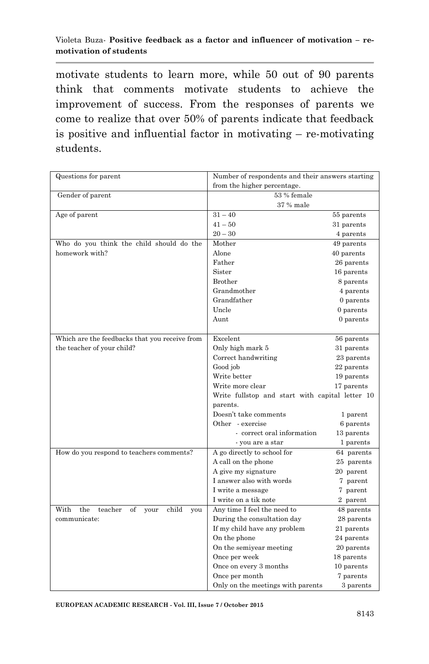#### Violeta Buza*-* **Positive feedback as a factor and influencer of motivation – remotivation of students**

motivate students to learn more, while 50 out of 90 parents think that comments motivate students to achieve the improvement of success. From the responses of parents we come to realize that over 50% of parents indicate that feedback is positive and influential factor in motivating – re-motivating students.

| Questions for parent                                 | Number of respondents and their answers starting |            |  |  |
|------------------------------------------------------|--------------------------------------------------|------------|--|--|
|                                                      | from the higher percentage.                      |            |  |  |
| Gender of parent                                     | 53 % female                                      |            |  |  |
|                                                      | 37 % male                                        |            |  |  |
| Age of parent                                        | $31 - 40$                                        | 55 parents |  |  |
|                                                      | $41 - 50$                                        | 31 parents |  |  |
|                                                      | $20 - 30$                                        | 4 parents  |  |  |
| Who do you think the child should do the             | Mother                                           | 49 parents |  |  |
| homework with?                                       | Alone                                            | 40 parents |  |  |
|                                                      | Father                                           | 26 parents |  |  |
|                                                      | Sister                                           | 16 parents |  |  |
|                                                      | Brother                                          | 8 parents  |  |  |
|                                                      | Grandmother                                      | 4 parents  |  |  |
|                                                      | Grandfather                                      | 0 parents  |  |  |
|                                                      | Uncle                                            | 0 parents  |  |  |
|                                                      | Aunt                                             | 0 parents  |  |  |
|                                                      |                                                  |            |  |  |
| Which are the feedbacks that you receive from        | Excelent                                         | 56 parents |  |  |
| the teacher of your child?                           | Only high mark 5                                 | 31 parents |  |  |
|                                                      | Correct handwriting                              | 23 parents |  |  |
|                                                      | Good job                                         | 22 parents |  |  |
|                                                      | Write better                                     | 19 parents |  |  |
|                                                      | Write more clear                                 | 17 parents |  |  |
|                                                      | Write fullstop and start with capital letter 10  |            |  |  |
|                                                      | parents.                                         |            |  |  |
|                                                      | Doesn't take comments                            | 1 parent   |  |  |
|                                                      | Other - exercise                                 | 6 parents  |  |  |
|                                                      | - correct oral information                       | 13 parents |  |  |
|                                                      | - you are a star                                 | 1 parents  |  |  |
| How do you respond to teachers comments?             | A go directly to school for                      | 64 parents |  |  |
|                                                      | A call on the phone                              | 25 parents |  |  |
|                                                      | A give my signature                              | 20 parent  |  |  |
|                                                      | I answer also with words                         | 7 parent   |  |  |
|                                                      | I write a message                                | 7 parent   |  |  |
|                                                      | I write on a tik note                            | 2 parent   |  |  |
| With<br>the<br>teacher<br>child<br>of<br>your<br>you | Any time I feel the need to                      | 48 parents |  |  |
| communicate:                                         | During the consultation day                      | 28 parents |  |  |
|                                                      | If my child have any problem                     | 21 parents |  |  |
|                                                      | On the phone                                     | 24 parents |  |  |
|                                                      | On the semiyear meeting                          | 20 parents |  |  |
|                                                      | Once per week                                    | 18 parents |  |  |
|                                                      | Once on every 3 months                           | 10 parents |  |  |
|                                                      | Once per month                                   | 7 parents  |  |  |
|                                                      | Only on the meetings with parents                | 3 parents  |  |  |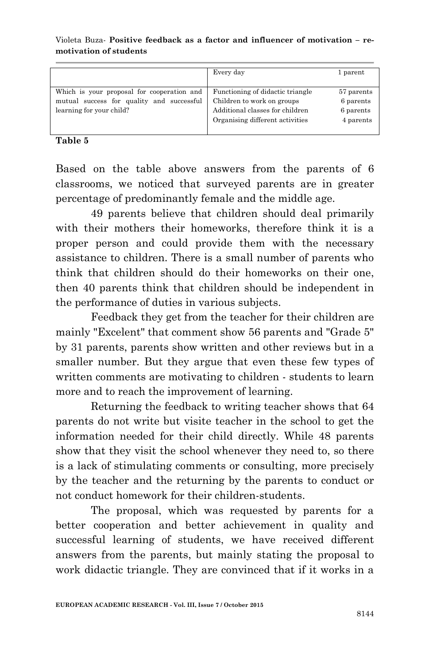#### Violeta Buza*-* **Positive feedback as a factor and influencer of motivation – remotivation of students**

|                                                                                                                     | Every day                                                                                                                            | 1 parent                                          |
|---------------------------------------------------------------------------------------------------------------------|--------------------------------------------------------------------------------------------------------------------------------------|---------------------------------------------------|
| Which is your proposal for cooperation and<br>mutual success for quality and successful<br>learning for your child? | Functioning of didactic triangle<br>Children to work on groups<br>Additional classes for children<br>Organising different activities | 57 parents<br>6 parents<br>6 parents<br>4 parents |

#### **Table 5**

Based on the table above answers from the parents of 6 classrooms, we noticed that surveyed parents are in greater percentage of predominantly female and the middle age.

49 parents believe that children should deal primarily with their mothers their homeworks, therefore think it is a proper person and could provide them with the necessary assistance to children. There is a small number of parents who think that children should do their homeworks on their one, then 40 parents think that children should be independent in the performance of duties in various subjects.

Feedback they get from the teacher for their children are mainly "Excelent" that comment show 56 parents and "Grade 5" by 31 parents, parents show written and other reviews but in a smaller number. But they argue that even these few types of written comments are motivating to children - students to learn more and to reach the improvement of learning.

Returning the feedback to writing teacher shows that 64 parents do not write but visite teacher in the school to get the information needed for their child directly. While 48 parents show that they visit the school whenever they need to, so there is a lack of stimulating comments or consulting, more precisely by the teacher and the returning by the parents to conduct or not conduct homework for their children-students.

The proposal, which was requested by parents for a better cooperation and better achievement in quality and successful learning of students, we have received different answers from the parents, but mainly stating the proposal to work didactic triangle. They are convinced that if it works in a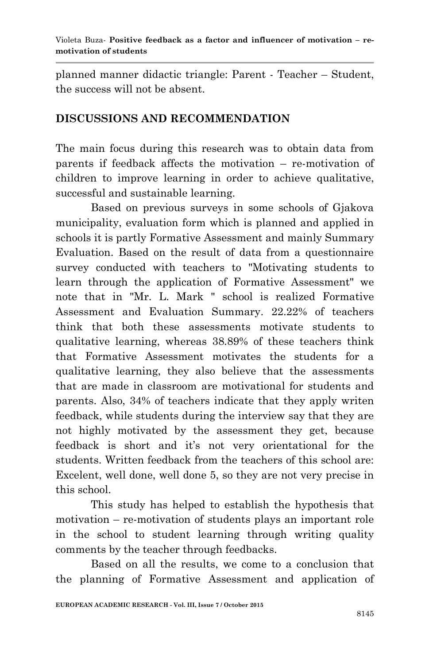planned manner didactic triangle: Parent - Teacher – Student, the success will not be absent.

# **DISCUSSIONS AND RECOMMENDATION**

The main focus during this research was to obtain data from parents if feedback affects the motivation – re-motivation of children to improve learning in order to achieve qualitative, successful and sustainable learning.

Based on previous surveys in some schools of Gjakova municipality, evaluation form which is planned and applied in schools it is partly Formative Assessment and mainly Summary Evaluation. Based on the result of data from a questionnaire survey conducted with teachers to "Motivating students to learn through the application of Formative Assessment" we note that in "Mr. L. Mark " school is realized Formative Assessment and Evaluation Summary. 22.22% of teachers think that both these assessments motivate students to qualitative learning, whereas 38.89% of these teachers think that Formative Assessment motivates the students for a qualitative learning, they also believe that the assessments that are made in classroom are motivational for students and parents. Also, 34% of teachers indicate that they apply writen feedback, while students during the interview say that they are not highly motivated by the assessment they get, because feedback is short and it's not very orientational for the students. Written feedback from the teachers of this school are: Excelent, well done, well done 5, so they are not very precise in this school.

This study has helped to establish the hypothesis that motivation – re-motivation of students plays an important role in the school to student learning through writing quality comments by the teacher through feedbacks.

Based on all the results, we come to a conclusion that the planning of Formative Assessment and application of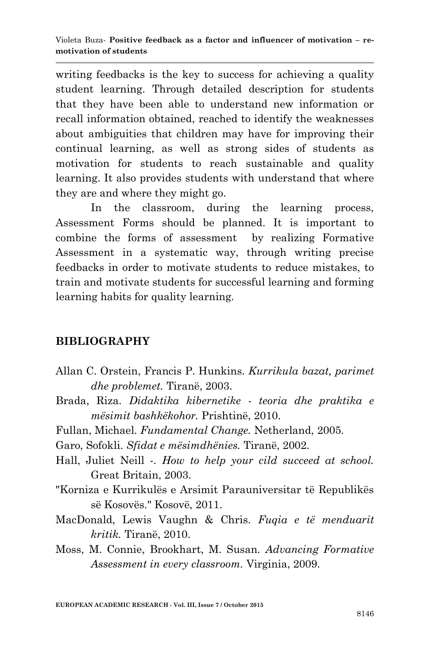writing feedbacks is the key to success for achieving a quality student learning. Through detailed description for students that they have been able to understand new information or recall information obtained, reached to identify the weaknesses about ambiguities that children may have for improving their continual learning, as well as strong sides of students as motivation for students to reach sustainable and quality learning. It also provides students with understand that where they are and where they might go.

In the classroom, during the learning process, Assessment Forms should be planned. It is important to combine the forms of assessment by realizing Formative Assessment in a systematic way, through writing precise feedbacks in order to motivate students to reduce mistakes, to train and motivate students for successful learning and forming learning habits for quality learning.

## **BIBLIOGRAPHY**

- Allan C. Orstein, Francis P. Hunkins. *Kurrikula bazat, parimet dhe problemet.* Tiranë, 2003.
- Brada, Riza. *Didaktika kibernetike - teoria dhe praktika e mësimit bashkëkohor.* Prishtinë, 2010.
- Fullan, Michael. *Fundamental Change.* Netherland, 2005.
- Garo, Sofokli. *Sfidat e mësimdhënies.* Tiranë, 2002.
- Hall, Juliet Neill -. *How to help your cild succeed at school.* Great Britain, 2003.
- "Korniza e Kurrikulës e Arsimit Parauniversitar të Republikës së Kosovës." Kosovë, 2011.
- MacDonald, Lewis Vaughn & Chris. *Fuqia e të menduarit kritik.* Tiranë, 2010.
- Moss, M. Connie, Brookhart, M. Susan. *Advancing Formative Assessment in every classroom.* Virginia, 2009.